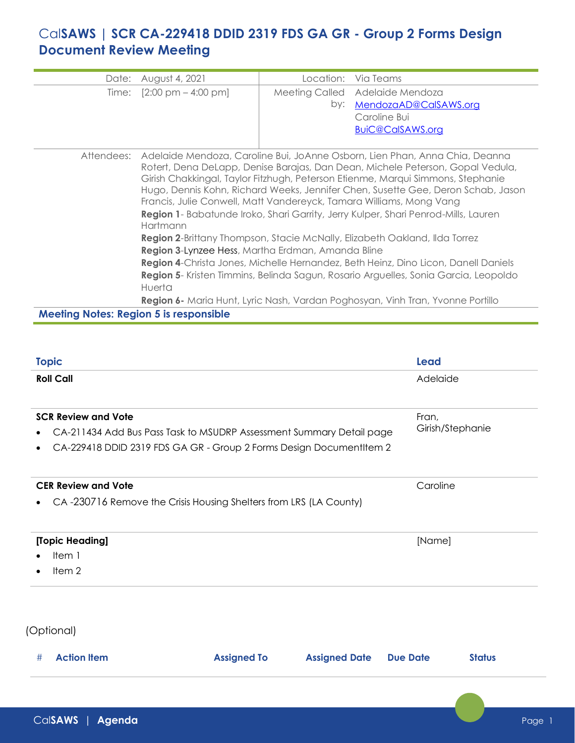## Cal**SAWS | SCR CA-229418 DDID 2319 FDS GA GR - Group 2 Forms Design Document Review Meeting**

| Date:      | August 4, 2021                                                                                                                                                                                                                                                                                                                                                                                                                                                                                                                                                                                                                                                                                                                                                                                                                                                                                                            | Location: | Via Teams                       |
|------------|---------------------------------------------------------------------------------------------------------------------------------------------------------------------------------------------------------------------------------------------------------------------------------------------------------------------------------------------------------------------------------------------------------------------------------------------------------------------------------------------------------------------------------------------------------------------------------------------------------------------------------------------------------------------------------------------------------------------------------------------------------------------------------------------------------------------------------------------------------------------------------------------------------------------------|-----------|---------------------------------|
|            | Time: $[2:00 \text{ pm} - 4:00 \text{ pm}]$                                                                                                                                                                                                                                                                                                                                                                                                                                                                                                                                                                                                                                                                                                                                                                                                                                                                               |           | Meeting Called Adelaide Mendoza |
|            |                                                                                                                                                                                                                                                                                                                                                                                                                                                                                                                                                                                                                                                                                                                                                                                                                                                                                                                           | by:       | MendozaAD@CalSAWS.org           |
|            |                                                                                                                                                                                                                                                                                                                                                                                                                                                                                                                                                                                                                                                                                                                                                                                                                                                                                                                           |           | Caroline Bui                    |
|            |                                                                                                                                                                                                                                                                                                                                                                                                                                                                                                                                                                                                                                                                                                                                                                                                                                                                                                                           |           | <b>BuiC@CalSAWS.org</b>         |
|            |                                                                                                                                                                                                                                                                                                                                                                                                                                                                                                                                                                                                                                                                                                                                                                                                                                                                                                                           |           |                                 |
| Attendees: | Adelaide Mendoza, Caroline Bui, JoAnne Osborn, Lien Phan, Anna Chia, Deanna<br>Rotert, Dena DeLapp, Denise Barajas, Dan Dean, Michele Peterson, Gopal Vedula,<br>Girish Chakkingal, Taylor Fitzhugh, Peterson Etienme, Marqui Simmons, Stephanie<br>Hugo, Dennis Kohn, Richard Weeks, Jennifer Chen, Susette Gee, Deron Schab, Jason<br>Francis, Julie Conwell, Matt Vandereyck, Tamara Williams, Mong Vang<br>Region 1- Babatunde Iroko, Shari Garrity, Jerry Kulper, Shari Penrod-Mills, Lauren<br>Hartmann<br>Region 2-Brittany Thompson, Stacie McNally, Elizabeth Oakland, Ilda Torrez<br>Region 3-Lynzee Hess, Martha Erdman, Amanda Bline<br>Region 4-Christa Jones, Michelle Hernandez, Beth Heinz, Dino Licon, Danell Daniels<br>Region 5- Kristen Timmins, Belinda Sagun, Rosario Arguelles, Sonia Garcia, Leopoldo<br>Huerta<br>Region 6- Maria Hunt, Lyric Nash, Vardan Poghosyan, Vinh Tran, Yvonne Portillo |           |                                 |

**Meeting Notes: Region 5 is responsible**

| <b>Topic</b>                                                                                       | <b>Lead</b>               |  |
|----------------------------------------------------------------------------------------------------|---------------------------|--|
| <b>Roll Call</b>                                                                                   | Adelaide                  |  |
| <b>SCR Review and Vote</b><br>CA-211434 Add Bus Pass Task to MSUDRP Assessment Summary Detail page | Fran,<br>Girish/Stephanie |  |
| CA-229418 DDID 2319 FDS GA GR - Group 2 Forms Design DocumentItem 2                                |                           |  |
| <b>CER Review and Vote</b>                                                                         | Caroline                  |  |
| CA-230716 Remove the Crisis Housing Shelters from LRS (LA County)                                  |                           |  |
| [Topic Heading]                                                                                    | [Name]                    |  |
| Item 1                                                                                             |                           |  |
| Item <sub>2</sub>                                                                                  |                           |  |

(Optional)

| # | <b>Action Item</b> | <b>Assigned To</b> | <b>Assigned Date Due Date</b> | <b>Status</b> |
|---|--------------------|--------------------|-------------------------------|---------------|
|   |                    |                    |                               |               |